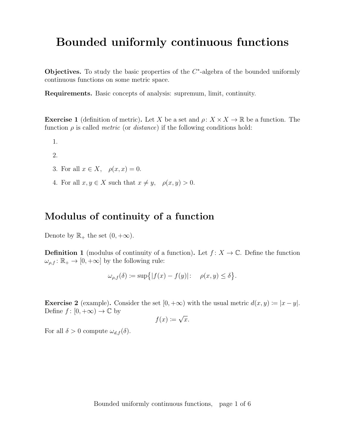# Bounded uniformly continuous functions

Objectives. To study the basic properties of the  $C^*$ -algebra of the bounded uniformly continuous functions on some metric space.

Requirements. Basic concepts of analysis: supremum, limit, continuity.

**Exercise 1** (definition of metric). Let X be a set and  $\rho: X \times X \to \mathbb{R}$  be a function. The function  $\rho$  is called *metric* (or *distance*) if the following conditions hold:

1.

2.

- 3. For all  $x \in X$ ,  $\rho(x, x) = 0$ .
- 4. For all  $x, y \in X$  such that  $x \neq y$ ,  $\rho(x, y) > 0$ .

#### Modulus of continuity of a function

Denote by  $\mathbb{R}_+$  the set  $(0, +\infty)$ .

**Definition 1** (modulus of continuity of a function). Let  $f: X \to \mathbb{C}$ . Define the function  $\omega_{\rho,f} \colon \mathbb{R}_+ \to [0,+\infty]$  by the following rule:

$$
\omega_{\rho,f}(\delta) \coloneqq \sup\{|f(x) - f(y)|: \quad \rho(x,y) \le \delta\}.
$$

**Exercise 2** (example). Consider the set  $[0, +\infty)$  with the usual metric  $d(x, y) \coloneqq |x - y|$ . Define  $f : [0, +\infty) \to \mathbb{C}$  by √

$$
f(x) \coloneqq \sqrt{x}.
$$

For all  $\delta > 0$  compute  $\omega_{d,f}(\delta)$ .

Bounded uniformly continuous functions, page 1 of 6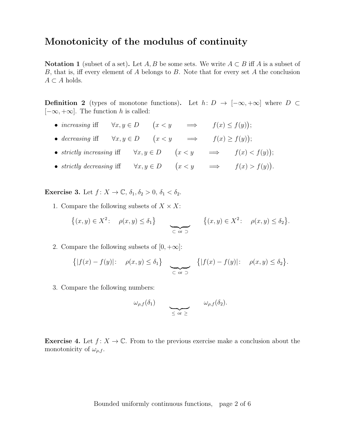#### Monotonicity of the modulus of continuity

**Notation 1** (subset of a set). Let A, B be some sets. We write  $A \subset B$  iff A is a subset of B, that is, iff every element of A belongs to B. Note that for every set A the conclusion  $A \subset A$  holds.

**Definition 2** (types of monotone functions). Let  $h: D → [-\infty, +\infty]$  where  $D \subset$  $[-\infty, +\infty]$ . The function h is called:

- increasing iff  $\forall x, y \in D$   $(x < y \implies f(x) \leq f(y));$
- decreasing iff  $\forall x, y \in D$   $(x < y \implies f(x) \ge f(y));$
- strictly increasing iff  $\forall x, y \in D$   $(x < y \implies f(x) < f(y));$
- strictly decreasing iff  $\forall x, y \in D$   $(x < y \implies f(x) > f(y)).$

**Exercise 3.** Let  $f: X \to \mathbb{C}, \delta_1, \delta_2 > 0, \delta_1 < \delta_2$ .

1. Compare the following subsets of  $X \times X$ :

$$
\{(x,y)\in X^2\colon \rho(x,y)\leq \delta_1\} \qquad \sum_{\substack{\text{or }\supset}} \{ (x,y)\in X^2\colon \rho(x,y)\leq \delta_2\}.
$$

2. Compare the following subsets of  $[0, +\infty]$ :

$$
\{|f(x)-f(y)|:\quad \rho(x,y)\leq \delta_1\}\quad \sum_{\substack{\text{or }\supset}}\quad \{|f(x)-f(y)|:\quad \rho(x,y)\leq \delta_2\}.
$$

3. Compare the following numbers:

$$
\omega_{\rho,f}(\delta_1) \qquad \qquad \underline{\omega_{\rho,f}(\delta_2)}.
$$

**Exercise 4.** Let  $f: X \to \mathbb{C}$ . From to the previous exercise make a conclusion about the monotonicity of  $\omega_{\rho,f}$ .

Bounded uniformly continuous functions, page 2 of 6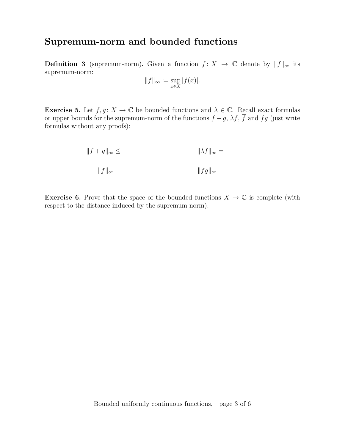## Supremum-norm and bounded functions

**Definition 3** (supremum-norm). Given a function  $f: X \to \mathbb{C}$  denote by  $||f||_{\infty}$  its supremum-norm:

$$
||f||_{\infty} \coloneqq \sup_{x \in X} |f(x)|.
$$

**Exercise 5.** Let  $f, g: X \to \mathbb{C}$  be bounded functions and  $\lambda \in \mathbb{C}$ . Recall exact formulas or upper bounds for the supremum-norm of the functions  $f + g$ ,  $\lambda f$ ,  $\overline{f}$  and  $fg$  (just write formulas without any proofs):

$$
||f + g||_{\infty} \le ||\lambda f||_{\infty} =
$$
  

$$
||\overline{f}||_{\infty}
$$
  

$$
||fg||_{\infty}
$$

**Exercise 6.** Prove that the space of the bounded functions  $X \to \mathbb{C}$  is complete (with respect to the distance induced by the supremum-norm).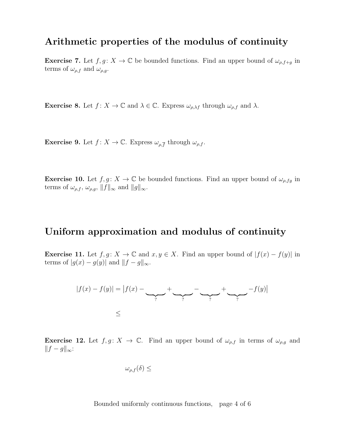#### Arithmetic properties of the modulus of continuity

**Exercise 7.** Let  $f, g: X \to \mathbb{C}$  be bounded functions. Find an upper bound of  $\omega_{\rho, f+g}$  in terms of  $\omega_{\rho,f}$  and  $\omega_{\rho,g}$ .

**Exercise 8.** Let  $f: X \to \mathbb{C}$  and  $\lambda \in \mathbb{C}$ . Express  $\omega_{\rho,\lambda f}$  through  $\omega_{\rho,f}$  and  $\lambda$ .

**Exercise 9.** Let  $f: X \to \mathbb{C}$ . Express  $\omega_{\rho, \overline{f}}$  through  $\omega_{\rho, f}$ .

**Exercise 10.** Let  $f, g: X \to \mathbb{C}$  be bounded functions. Find an upper bound of  $\omega_{\rho, fg}$  in terms of  $\omega_{\rho,f}, \omega_{\rho,g}, \|f\|_{\infty}$  and  $||g||_{\infty}$ .

#### Uniform approximation and modulus of continuity

**Exercise 11.** Let  $f, g: X \to \mathbb{C}$  and  $x, y \in X$ . Find an upper bound of  $|f(x) - f(y)|$  in terms of  $|g(x) - g(y)|$  and  $||f - g||_{\infty}$ .



**Exercise 12.** Let  $f, g: X \to \mathbb{C}$ . Find an upper bound of  $\omega_{\rho,f}$  in terms of  $\omega_{\rho,g}$  and  $||f - g||_{\infty}$ :

$$
\omega_{\rho,f}(\delta)\leq
$$

Bounded uniformly continuous functions, page 4 of 6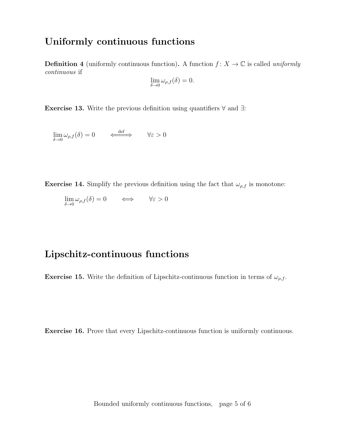### Uniformly continuous functions

**Definition 4** (uniformly continuous function). A function  $f: X \to \mathbb{C}$  is called uniformly continuous if

$$
\lim_{\delta \to 0} \omega_{\rho,f}(\delta) = 0.
$$

Exercise 13. Write the previous definition using quantifiers ∀ and ∃:

 $\lim_{\delta \to 0} \omega_{\rho,f}(\delta) = 0 \qquad \Longleftrightarrow \qquad \forall \varepsilon > 0$ 

**Exercise 14.** Simplify the previous definition using the fact that  $\omega_{\rho,f}$  is monotone:

$$
\lim_{\delta \to 0} \omega_{\rho,f}(\delta) = 0 \qquad \Longleftrightarrow \qquad \forall \varepsilon > 0
$$

#### Lipschitz-continuous functions

**Exercise 15.** Write the definition of Lipschitz-continuous function in terms of  $\omega_{\rho,f}$ .

Exercise 16. Prove that every Lipschitz-continuous function is uniformly continuous.